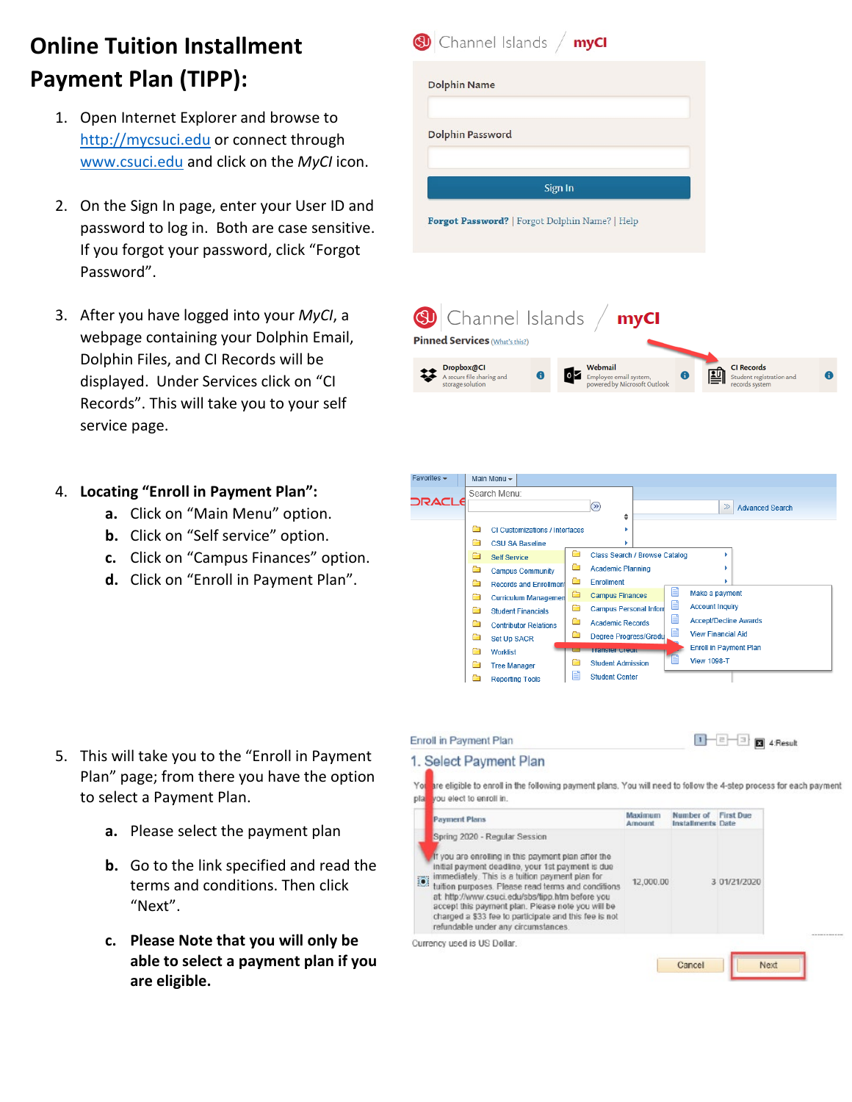## **Online Tuition Installment Payment Plan (TIPP):**

- 1. Open Internet Explorer and browse to [http://mycsuci.edu](http://mycsuci.edu/) or connect through [www.csuci.edu](http://www.csuci.edu/) and click on the *MyCI* icon.
- 2. On the Sign In page, enter your User ID and password to log in. Both are case sensitive. If you forgot your password, click "Forgot Password".
- 3. After you have logged into your *MyCI*, a webpage containing your Dolphin Email, Dolphin Files, and CI Records will be displayed. Under Services click on "CI Records". This will take you to your self service page.

## 4. **Locating "Enroll in Payment Plan":**

- **a.** Click on "Main Menu" option.
- **b.** Click on "Self service" option.
- **c.** Click on "Campus Finances" option.
- **d.** Click on "Enroll in Payment Plan".

- 5. This will take you to the "Enroll in Payment Plan" page; from there you have the option to select a Payment Plan.
	- **a.** Please select the payment plan
	- **b.** Go to the link specified and read the terms and conditions. Then click "Next".
	- **c. Please Note that you will only be able to select a payment plan if you are eligible.**





| 1. Select Payment Plan                                                                                                                                                                                                                                                                                                                                     |                          |                                |                  |  |
|------------------------------------------------------------------------------------------------------------------------------------------------------------------------------------------------------------------------------------------------------------------------------------------------------------------------------------------------------------|--------------------------|--------------------------------|------------------|--|
| are eligible to enroll in the following payment plans. You will need to follow the 4-step process for each payment<br>vou elect to enroll in.                                                                                                                                                                                                              |                          |                                |                  |  |
| <b>Payment Plans</b>                                                                                                                                                                                                                                                                                                                                       | <b>Maximum</b><br>Amount | Number of<br>Installments Date | <b>First Due</b> |  |
| Spring 2020 - Regular Session<br>If you are enrolling in this payment plan after the<br>initial payment deadline, your 1st payment is due<br>immediately. This is a tuition payment plan for<br>tuition purposes. Please read terms and conditions<br>at http://www.csuci.edu/sbs/tipp.htm before you<br>accept this payment plan. Please note you will be | 12,000.00                |                                | 3 01/21/2020     |  |